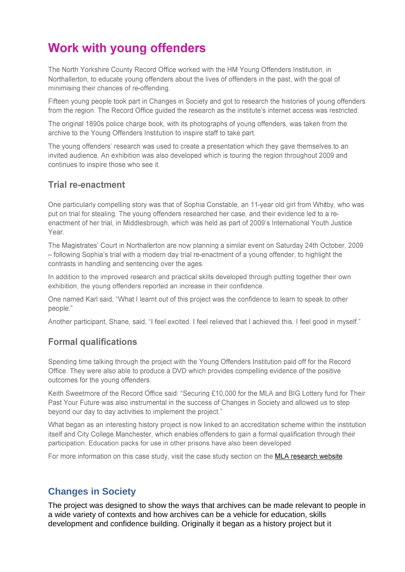# **Work with young offenders**

The North Yorkshire County Record Office worked with the HM Young Offenders Institution, in Northallerton, to educate young offenders about the lives of offenders in the past, with the goal of minimising their chances of re-offending.

Fifteen young people took part in Changes in Society and got to research the histories of young offenders from the region. The Record Office guided the research as the institute's internet access was restricted.

The original 1890s police charge book, with its photographs of young offenders, was taken from the archive to the Young Offenders Institution to inspire staff to take part.

The young offenders' research was used to create a presentation which they gave themselves to an invited audience. An exhibition was also developed which is touring the region throughout 2009 and continues to inspire those who see it.

#### **Trial re-enactment**

One particularly compelling story was that of Sophia Constable, an 11-year old girl from Whitby, who was put on trial for stealing. The young offenders researched her case, and their evidence led to a reenactment of her trial, in Middlesbrough, which was held as part of 2009's International Youth Justice Year.

The Magistrates' Court in Northallerton are now planning a similar event on Saturday 24th October, 2009 - following Sophia's trial with a modern day trial re-enactment of a young offender, to highlight the contrasts in handling and sentencing over the ages.

In addition to the improved research and practical skills developed through putting together their own exhibition, the young offenders reported an increase in their confidence.

One named Karl said, "What I learnt out of this project was the confidence to learn to speak to other people."

Another participant, Shane, said, "I feel excited. I feel relieved that I achieved this. I feel good in myself."

## **Formal qualifications**

Spending time talking through the project with the Young Offenders Institution paid off for the Record Office. They were also able to produce a DVD which provides compelling evidence of the positive outcomes for the young offenders.

Keith Sweetmore of the Record Office said: "Securing £10,000 for the MLA and BIG Lottery fund for Their Past Your Future was also instrumental in the success of Changes in Society and allowed us to step beyond our day to day activities to implement the project."

What began as an interesting history project is now linked to an accreditation scheme within the institution itself and City College Manchester, which enables offenders to gain a formal qualification through their participation. Education packs for use in other prisons have also been developed.

For more information on this case study, visit the case study section on the MLA research website.

# **Changes in Society**

The project was designed to show the ways that archives can be made relevant to people in a wide variety of contexts and how archives can be a vehicle for education, skills development and confidence building. Originally it began as a history project but it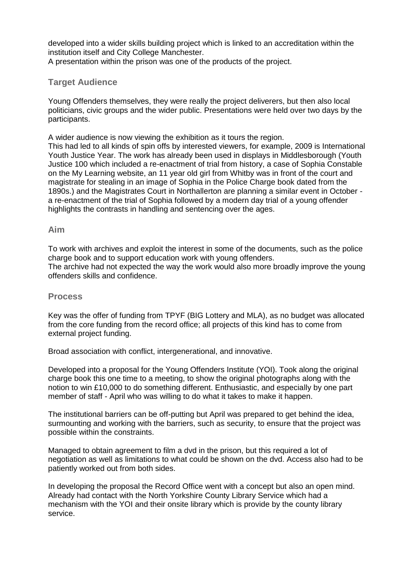developed into a wider skills building project which is linked to an accreditation within the institution itself and City College Manchester.

A presentation within the prison was one of the products of the project.

#### **Target Audience**

Young Offenders themselves, they were really the project deliverers, but then also local politicians, civic groups and the wider public. Presentations were held over two days by the participants.

A wider audience is now viewing the exhibition as it tours the region.

This had led to all kinds of spin offs by interested viewers, for example, 2009 is International Youth Justice Year. The work has already been used in displays in Middlesborough (Youth Justice 100 which included a re-enactment of trial from history, a case of Sophia Constable on the My Learning website, an 11 year old girl from Whitby was in front of the court and magistrate for stealing in an image of Sophia in the Police Charge book dated from the 1890s.) and the Magistrates Court in Northallerton are planning a similar event in October a re-enactment of the trial of Sophia followed by a modern day trial of a young offender highlights the contrasts in handling and sentencing over the ages.

#### **Aim**

To work with archives and exploit the interest in some of the documents, such as the police charge book and to support education work with young offenders. The archive had not expected the way the work would also more broadly improve the young offenders skills and confidence.

#### **Process**

Key was the offer of funding from TPYF (BIG Lottery and MLA), as no budget was allocated from the core funding from the record office; all projects of this kind has to come from external project funding.

Broad association with conflict, intergenerational, and innovative.

Developed into a proposal for the Young Offenders Institute (YOI). Took along the original charge book this one time to a meeting, to show the original photographs along with the notion to win £10,000 to do something different. Enthusiastic, and especially by one part member of staff - April who was willing to do what it takes to make it happen.

The institutional barriers can be off-putting but April was prepared to get behind the idea, surmounting and working with the barriers, such as security, to ensure that the project was possible within the constraints.

Managed to obtain agreement to film a dvd in the prison, but this required a lot of negotiation as well as limitations to what could be shown on the dvd. Access also had to be patiently worked out from both sides.

In developing the proposal the Record Office went with a concept but also an open mind. Already had contact with the North Yorkshire County Library Service which had a mechanism with the YOI and their onsite library which is provide by the county library service.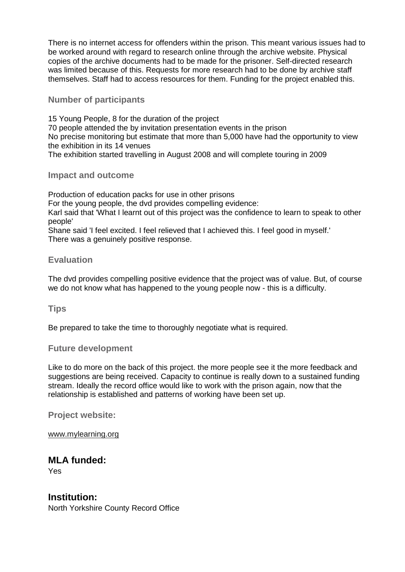There is no internet access for offenders within the prison. This meant various issues had to be worked around with regard to research online through the archive website. Physical copies of the archive documents had to be made for the prisoner. Self-directed research was limited because of this. Requests for more research had to be done by archive staff themselves. Staff had to access resources for them. Funding for the project enabled this.

#### **Number of participants**

15 Young People, 8 for the duration of the project 70 people attended the by invitation presentation events in the prison No precise monitoring but estimate that more than 5,000 have had the opportunity to view the exhibition in its 14 venues The exhibition started travelling in August 2008 and will complete touring in 2009

#### **Impact and outcome**

Production of education packs for use in other prisons For the young people, the dvd provides compelling evidence: Karl said that 'What I learnt out of this project was the confidence to learn to speak to other people' Shane said 'I feel excited. I feel relieved that I achieved this. I feel good in myself.' There was a genuinely positive response.

#### **Evaluation**

The dvd provides compelling positive evidence that the project was of value. But, of course we do not know what has happened to the young people now - this is a difficulty.

**Tips**

Be prepared to take the time to thoroughly negotiate what is required.

#### **Future development**

Like to do more on the back of this project. the more people see it the more feedback and suggestions are being received. Capacity to continue is really down to a sustained funding stream. Ideally the record office would like to work with the prison again, now that the relationship is established and patterns of working have been set up.

**Project website:** 

[www.mylearning.org](http://www.mylearning.org/)

# **MLA funded:**

Yes

**Institution:** North Yorkshire County Record Office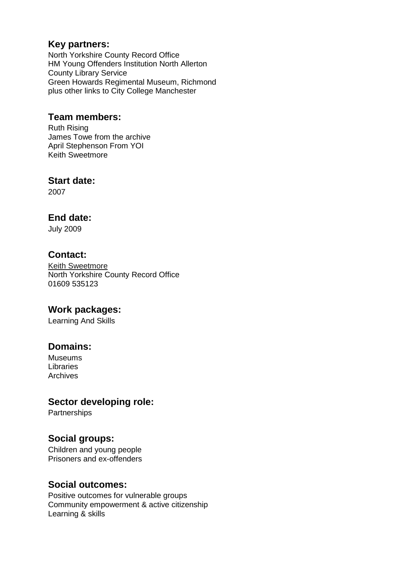## **Key partners:**

North Yorkshire County Record Office HM Young Offenders Institution North Allerton County Library Service Green Howards Regimental Museum, Richmond plus other links to City College Manchester

## **Team members:**

Ruth Rising James Towe from the archive April Stephenson From YOI Keith Sweetmore

## **Start date:**

2007

# **End date:**

July 2009

# **Contact:**

[Keith Sweetmore](mailto:Keith.Sweetmore@northyorks.gov.uk) North Yorkshire County Record Office 01609 535123

## **Work packages:**

Learning And Skills

# **Domains:**

Museums Libraries Archives

# **Sector developing role:**

**Partnerships** 

## **Social groups:**

Children and young people Prisoners and ex-offenders

## **Social outcomes:**

Positive outcomes for vulnerable groups Community empowerment & active citizenship Learning & skills